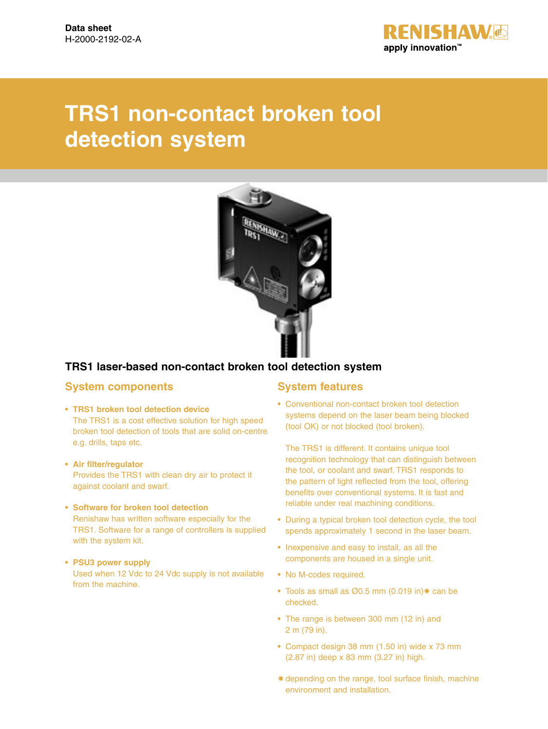

# **TRS1 non-contact broken tool detection system**



## **TRS1 laser-based non-contact broken tool detection system**

### **System components**

- **TRS1 broken tool detection device** The TRS1 is a cost effective solution for high speed broken tool detection of tools that are solid on-centre e.g. drills, taps etc.
- **Air filter/regulator** Provides the TRS1 with clean dry air to protect it against coolant and swarf.
- **Software for broken tool detection**

Renishaw has written software especially for the TRS1. Software for a range of controllers is supplied with the system kit.

### **• PSU3 power supply**

Used when 12 Vdc to 24 Vdc supply is not available from the machine.

### **System features**

**•** Conventional non-contact broken tool detection systems depend on the laser beam being blocked (tool OK) or not blocked (tool broken).

The TRS1 is different. It contains unique tool recognition technology that can distinguish between the tool, or coolant and swarf. TRS1 responds to the pattern of light reflected from the tool, offering benefits over conventional systems. It is fast and reliable under real machining conditions.

- During a typical broken tool detection cycle, the tool spends approximately 1 second in the laser beam.
- Inexpensive and easy to install, as all the components are housed in a single unit.
- No M-codes required.
- Tools as small as Ø0.5 mm (0.019 in)✸ can be checked.
- The range is between 300 mm (12 in) and 2 m (79 in).
- Compact design 38 mm (1.50 in) wide x 73 mm (2.87 in) deep x 83 mm (3.27 in) high.
- ✸ depending on the range, tool surface finish, machine environment and installation.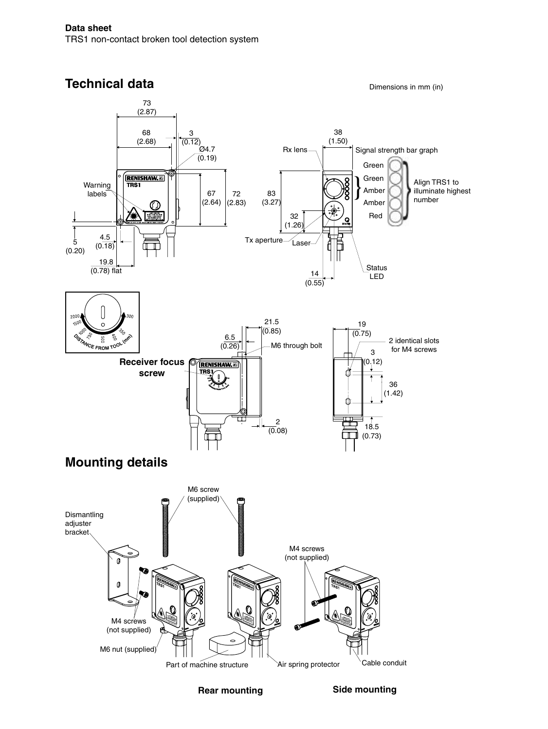#### **Technical data** Dimensions in mm (in) 73 (2.87) 38 68 3 (1.50) (2.68)  $(0.12)$  $\frac{1}{2}$ 94.7  $Rx lens \rightarrow$   $\rightarrow$  Signal strength bar graph  $(0.19)$ Green **RENISHAW.ED**  $\left| \right\rangle$ Green Align TRS1 to Warning **TRS1** illuminate highest Amber labels 67 72 83 number (2.64)  $(2.83)$ (3.27) Amber  $\mathbb O$ 32 Red (1.26) 4.5 Tx aperture 5 Laser  $(0.18)$ ┳ (0.20) 19.8 Status  $(0.78)$  flat 14 LED  $(0.55)$ 21.5 19  $6.5$   $(6.85)$  $(0.75)$ 2 identical slots  $(0.26)$ M6 through bolt CE FROM TOC for M4 screws 3 **Receiver focus**  (0.12)  $\overline{\overline{\mathbf{v}}$ g **screw** 36 (1.42) ككز 2 18.5  $(0.08)$ m (0.73) ╥ **Mounting details** M6 screw (supplied) Dismantling adjuster bracket M4 screws (not supplied)  $\mathfrak{a}$ M4 screws (not supplied) M6 nut (supplied)Cable conduit Part of machine structure <br>Air spring protector

**Rear mounting**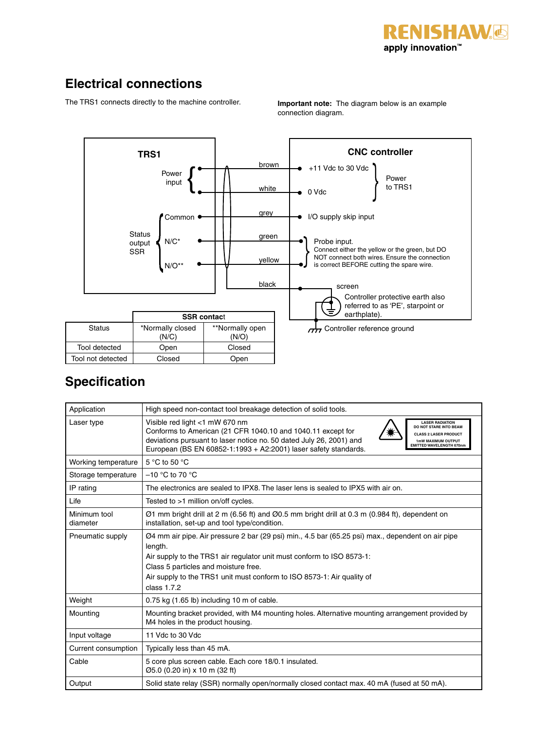

## **Electrical connections**

The TRS1 connects directly to the machine controller.

**Important note:** The diagram below is an example connection diagram.



## **Specification**

| Application              | High speed non-contact tool breakage detection of solid tools.                                                                                                                                                                                                                                                                                                                       |  |  |
|--------------------------|--------------------------------------------------------------------------------------------------------------------------------------------------------------------------------------------------------------------------------------------------------------------------------------------------------------------------------------------------------------------------------------|--|--|
| Laser type               | Visible red light <1 mW 670 nm<br><b>LASER RADIATION</b><br>DO NOT STARE INTO BEAM<br>Conforms to American (21 CFR 1040.10 and 1040.11 except for<br><b>CLASS 2 LASER PRODUCT</b><br>deviations pursuant to laser notice no. 50 dated July 26, 2001) and<br>1mW MAXIMUM OUTPUT<br><b>EMITTED WAVELENGTH 670nm</b><br>European (BS EN 60852-1:1993 + A2:2001) laser safety standards. |  |  |
| Working temperature      | 5 °C to 50 °C                                                                                                                                                                                                                                                                                                                                                                        |  |  |
| Storage temperature      | $-10$ °C to 70 °C                                                                                                                                                                                                                                                                                                                                                                    |  |  |
| IP rating                | The electronics are sealed to IPX8. The laser lens is sealed to IPX5 with air on.                                                                                                                                                                                                                                                                                                    |  |  |
| Life                     | Tested to >1 million on/off cycles.                                                                                                                                                                                                                                                                                                                                                  |  |  |
| Minimum tool<br>diameter | $\varnothing$ 1 mm bright drill at 2 m (6.56 ft) and $\varnothing$ 0.5 mm bright drill at 0.3 m (0.984 ft), dependent on<br>installation, set-up and tool type/condition.                                                                                                                                                                                                            |  |  |
| Pneumatic supply         | Ø4 mm air pipe. Air pressure 2 bar (29 psi) min., 4.5 bar (65.25 psi) max., dependent on air pipe<br>length.<br>Air supply to the TRS1 air regulator unit must conform to ISO 8573-1:<br>Class 5 particles and moisture free.<br>Air supply to the TRS1 unit must conform to ISO 8573-1: Air quality of<br>class $1.7.2$                                                             |  |  |
| Weight                   | $0.75$ kg $(1.65$ lb) including 10 m of cable.                                                                                                                                                                                                                                                                                                                                       |  |  |
| Mounting                 | Mounting bracket provided, with M4 mounting holes. Alternative mounting arrangement provided by<br>M4 holes in the product housing.                                                                                                                                                                                                                                                  |  |  |
| Input voltage            | 11 Vdc to 30 Vdc                                                                                                                                                                                                                                                                                                                                                                     |  |  |
| Current consumption      | Typically less than 45 mA.                                                                                                                                                                                                                                                                                                                                                           |  |  |
| Cable                    | 5 core plus screen cable. Each core 18/0.1 insulated.<br>Ø5.0 (0.20 in) x 10 m (32 ft)                                                                                                                                                                                                                                                                                               |  |  |
| Output                   | Solid state relay (SSR) normally open/normally closed contact max. 40 mA (fused at 50 mA).                                                                                                                                                                                                                                                                                           |  |  |